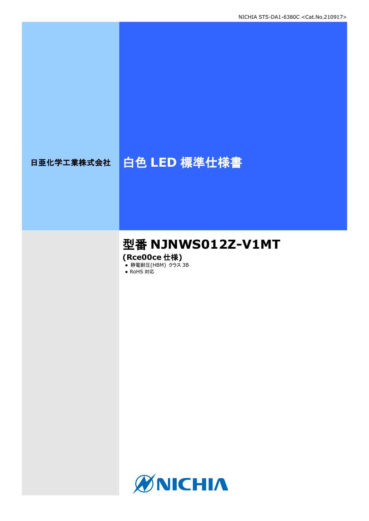# 日亜化学工業株式会社 | 白色 LED 標準仕様書

# 型番 **NJNWS012Z-V1MT**

**(Rce00ce** 仕様**)**

- **静電耐圧(HBM) クラス 3B**
- RoHS 対応

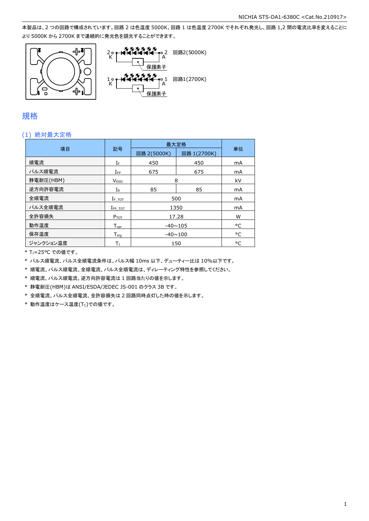本製品は、2 つの回路で構成されています。回路 2 は色温度 5000K、回路 1 は色温度 2700K でそれぞれ発光し、回路 1,2 間の電流比率を変えることに より 5000K から 2700K まで連続的に発光色を調光することができます。



### 規格

### (1) 絶対最大定格

|           |                    | 最大定格           |             |    |  |  |
|-----------|--------------------|----------------|-------------|----|--|--|
| 項目        | 記号                 | 回路 2(5000K)    | 回路 1(2700K) | 単位 |  |  |
| 順電流       | ΙF                 | 450            | 450         | mA |  |  |
| パルス順電流    | $I_{\mathsf{FP}}$  | 675            | 675         | mA |  |  |
| 静電耐圧(HBM) | <b>VESD</b>        | 8              |             | kV |  |  |
| 逆方向許容電流   | $I_{R}$            | 85             | 85          | mA |  |  |
| 全順電流      | $I_{F\_TOT}$       | 500            |             | mA |  |  |
| パルス全順電流   | $I_{FP\_TOT}$      | 1350           |             | mA |  |  |
| 全許容損失     | $P_{TOT}$          | 17.28          |             | W  |  |  |
| 動作温度      | $T_{\mathsf{opr}}$ | $-40 \sim 105$ |             | °C |  |  |
| 保存温度      | $T_{\rm stq}$      | $-40 \sim 100$ |             | °C |  |  |
| ジャンクション温度 | Tı                 |                | 150         | °C |  |  |

\* TJ=25°C での値です。

\* パルス順電流、パルス全順電流条件は、パルス幅 10ms 以下、デューティー比は 10%以下です。

\* 順電流、パルス順電流、全順電流、パルス全順電流は、ディレーティング特性を参照してください。

\* 順電流、パルス順電流、逆方向許容電流は 1 回路当たりの値を示します。

\* 静電耐圧(HBM)は ANSI/ESDA/JEDEC JS-001 のクラス 3B です。

\* 全順電流、パルス全順電流、全許容損失は 2 回路同時点灯した時の値を示します。

 $*$ 動作温度はケース温度(Tc)での値です。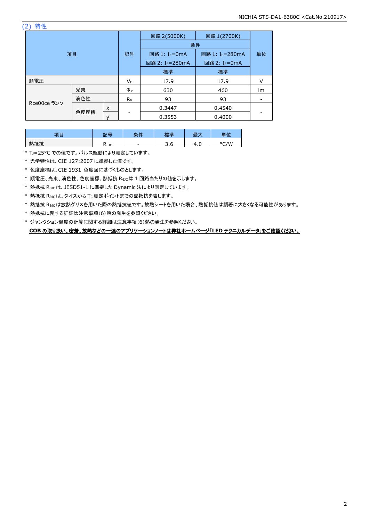(2) 特性

| 項目          |      |    | 回路 1(2700K)<br>回路 2(5000K) |                           |        |        |
|-------------|------|----|----------------------------|---------------------------|--------|--------|
|             |      |    | 条件                         |                           |        |        |
|             |      | 記号 | 回路 1: I <sub>F</sub> =0mA  | 回路 1: IF=280mA            | 単位     |        |
|             |      |    | 回路 2: IF=280mA             | 回路 2: I <sub>F</sub> =0mA |        |        |
|             |      |    | 標準                         | 標準                        |        |        |
| 順電圧         |      |    | VF                         | 17.9                      | 17.9   | $\vee$ |
|             | 光束   |    | $\Phi_{v}$                 | 630                       | 460    | lm     |
|             | 演色性  |    | $R_{a}$                    | 93                        | 93     |        |
| Rce00ce ランク |      | X  |                            | 0.3447                    | 0.4540 |        |
|             | 色度座標 |    |                            | 0.3553                    | 0.4000 |        |

| 古中  | 記号   | 冬世<br>⌒ | 標準       | -<br>-<br>取り | 畄付   |
|-----|------|---------|----------|--------------|------|
| 熱抵抗 | Kejc | $\sim$  | ∽<br>5.0 | ,<br>T.U     | °C/W |

\* TJ=25°C での値です。パルス駆動により測定しています。

\* 光学特性は、CIE 127:2007 に準拠した値です。

\* 色度座標は、CIE 1931 色度図に基づくものとします。

\* 順電圧、光束、演色性、色度座標、熱抵抗 RθJCは 1 回路当たりの値を示します。

\* 熱抵抗 RθJCは、JESD51-1 に準拠した Dynamic 法により測定しています。

\* 熱抵抗 Rejcは、ダイスから Tc 測定ポイントまでの熱抵抗を表します。

\* 熱抵抗 RθJCは放熱グリスを用いた際の熱抵抗値です。放熱シートを用いた場合、熱抵抗値は顕著に大きくなる可能性があります。

\* 熱抵抗に関する詳細は注意事項(6)熱の発生を参照ください。

\* ジャンクション温度の計算に関する詳細は注意事項(6)熱の発生を参照ください。 **COB** の取り扱い、密着、放熱などの一連のアプリケーションノートは弊社ホームページ「**LED** テクニカルデータ」をご確認ください。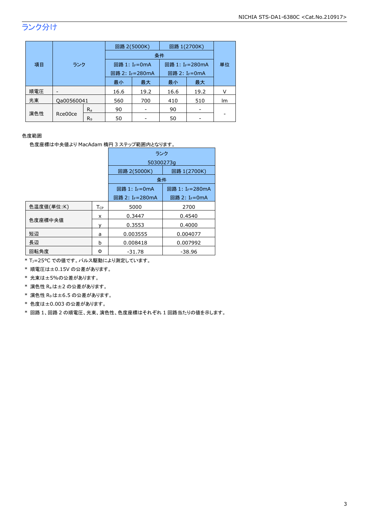# ランク分け

|     |            | 回路 2(5000K)    |                             |      |      | 回路 1(2700K)                 |    |
|-----|------------|----------------|-----------------------------|------|------|-----------------------------|----|
|     |            |                | 条件                          |      |      |                             |    |
| 項目  | ランク        |                | 回路 1: I <sub>F</sub> =0mA   |      |      | 回路 1: I <sub>F</sub> =280mA |    |
|     |            |                | 回路 2: I <sub>F</sub> =280mA |      |      | 回路 2: I <sub>F</sub> =0mA   |    |
|     |            |                | 最小                          | 最大   | 最小   | 最大                          |    |
| 順電圧 |            |                | 16.6                        | 19.2 | 16.6 | 19.2                        |    |
| 光束  | Qa00560041 |                | 560                         | 700  | 410  | 510                         | Im |
|     |            | $R_{a}$        | 90                          |      | 90   |                             |    |
| 演色性 | Rce00ce    | R <sub>9</sub> | 50                          |      | 50   |                             |    |

#### 色度範囲

色度座標は中央値より MacAdam 楕円 3 ステップ範囲内となります。

|            |                        | ランク                         |                             |  |  |
|------------|------------------------|-----------------------------|-----------------------------|--|--|
|            |                        | 50300273q                   |                             |  |  |
|            |                        | 回路 2(5000K)                 | 回路 1(2700K)                 |  |  |
|            |                        | 条件                          |                             |  |  |
|            |                        | 回路 1: I <sub>F</sub> =0mA   | 回路 1: I <sub>F</sub> =280mA |  |  |
|            |                        | 回路 2: I <sub>F</sub> =280mA | 回路 2: I <sub>F</sub> =0mA   |  |  |
| 色温度値(単位:K) | <b>T</b> <sub>CP</sub> | 5000                        | 2700                        |  |  |
|            | x                      | 0.3447                      | 0.4540                      |  |  |
| 色度座標中央値    |                        | 0.3553                      | 0.4000                      |  |  |
| 短辺         | a                      | 0.003555                    | 0.004077                    |  |  |
| 長辺         | b                      | 0.008418                    | 0.007992                    |  |  |
| 回転角度       | Φ                      | $-31.78$                    | -38.96                      |  |  |

\* TJ=25°C での値です。パルス駆動により測定しています。

\* 順電圧は±0.15V の公差があります。

\* 光束は±5%の公差があります。

\* 演色性 Raは±2 の公差があります。

\* 演色性 R9は±6.5 の公差があります。

\* 色度は±0.003 の公差があります。

\* 回路 1、回路 2 の順電圧、光束、演色性、色度座標はそれぞれ 1 回路当たりの値を示します。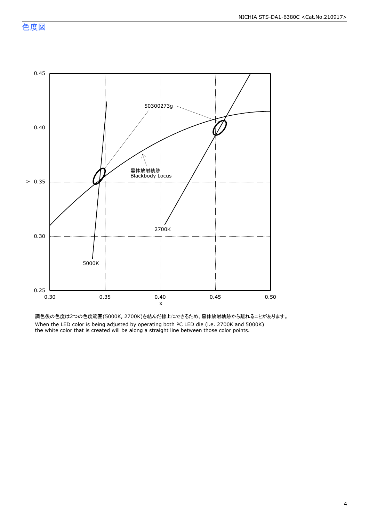

調色後の色度は2つの色度範囲(5000K, 2700K)を結んだ線上にできるため、黒体放射軌跡から離れることがあります。 When the LED color is being adjusted by operating both PC LED die (i.e. 2700K and 5000K) the white color that is created will be along a straight line between those color points.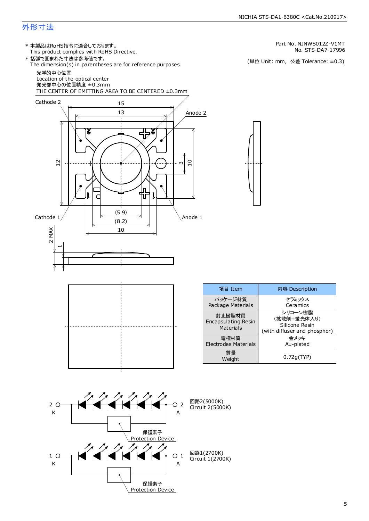#### NICHIA STS-DA1-6380C <Cat.No.210917>

# 外形寸法

- This product complies with RoHS Directive. 本製品はRoHS指令に適合しております。 \*
- 括弧で囲まれた寸法は参考値です。 \*

The dimension(s) in parentheses are for reference purposes. 光学的中心位置

発光部中心の位置精度 ±0.3mm Location of the optical center

THE CENTER OF EMITTING AREA TO BE CENTERED ±0.3mm





| 項目 Item                                           | 内容 Description                                                           |
|---------------------------------------------------|--------------------------------------------------------------------------|
| パッケージ材質<br>Package Materials                      | セラミックス<br>Ceramics                                                       |
| 封止樹脂材質<br><b>Encapsulating Resin</b><br>Materials | シリコーン樹脂<br>(拡散剤+蛍光体入り)<br>Silicone Resin<br>(with diffuser and phosphor) |
| 電極材質<br>Electrodes Materials                      | 余メッキ<br>Au-plated                                                        |
| 質量<br>Weight                                      | 0.72q(TYP)                                                               |



Part No. NJNWS012Z-V1MT

No. STS-DA7-17996<br>(単位 Unit: mm,公差 Tolerance: ±0.3)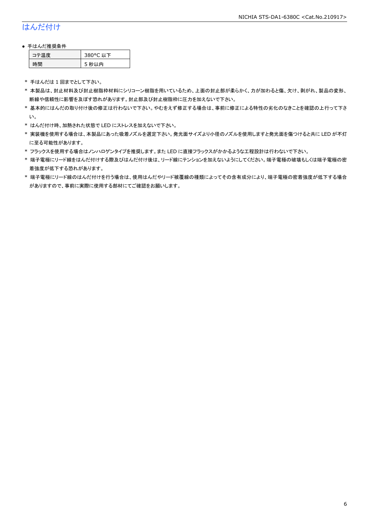# はんだ付け

#### ● 手はんだ推奨条件

| - 涅 度 | 380°C 以下 |
|-------|----------|
| .刪    | 5 秒以内    |

\* 手はんだは 1 回までとして下さい。

- \* 本製品は、封止材料及び封止樹脂枠材料にシリコーン樹脂を用いているため、上面の封止部が柔らかく、力が加わると傷、欠け、剥がれ、製品の変形、 断線や信頼性に影響を及ぼす恐れがあります。封止部及び封止樹脂枠に圧力を加えないで下さい。
- \* 基本的にはんだの取り付け後の修正は行わないで下さい。やむをえず修正する場合は、事前に修正による特性の劣化のなきことを確認の上行って下さ い。
- \* はんだ付け時、加熱された状態で LED にストレスを加えないで下さい。
- \* 実装機を使用する場合は、本製品にあった吸着ノズルを選定下さい。発光面サイズより小径のノズルを使用しますと発光面を傷つけると共に LED が不灯 に至る可能性があります。
- \* フラックスを使用する場合はノンハロゲンタイプを推奨します。また LED に直接フラックスがかかるような工程設計は行わないで下さい。
- \* 端子電極にリード線をはんだ付けする際及びはんだ付け後は、リード線にテンションを加えないようにしてください。端子電極の破壊もしくは端子電極の密 着強度が低下する恐れがあります。
- \* 端子電極にリード線のはんだ付けを行う場合は、使用はんだやリード被覆線の種類によってその含有成分により、端子電極の密着強度が低下する場合 がありますので、事前に実際に使用する部材にてご確認をお願いします。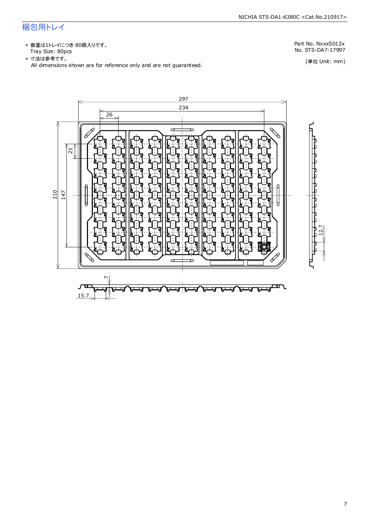# 梱包用トレイ

\* 数量は1トレイにつき 80個入りです。 Tray Size: 80pcs No. STS-DA7-17997

Part No. NxxxS012x

(単位 Unit: mm)

297 234 26  $\sigma$  $\overline{ }$ 21 210 14712.7  $\overline{a}$  $\check{ }$ ᄑ لى<br>ك τ. Ч г - 1 А Γ. ⊣√ ъ 41 15.7

\* 寸法は参考です。

All dimensions shown are for reference only and are not guaranteed.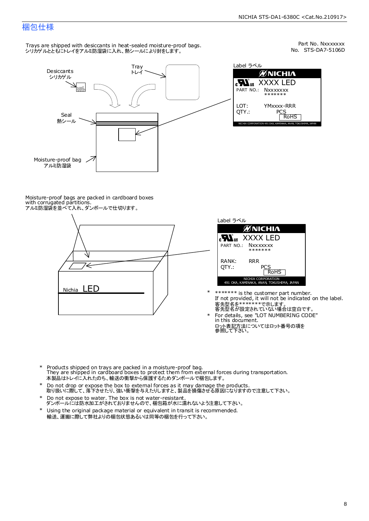# 梱包仕様

Trays are shipped with desiccants in heat-sealed moisture-proof bags. - hays are smpped man aesteams in heat sealed moletare pro<br>シリカゲルとともにトレイをアルミ防湿袋に入れ、熱シールにより封をします。



No. STS-DA7-5106D Part No. Nxxxxxxx

| Label ラベル                                                    |
|--------------------------------------------------------------|
| <b>MNICHIA</b>                                               |
| <b>Nus XXXX LED</b><br>PART NO.: Nxxxxxxx<br>*******         |
| LOT:<br>YMxxxx-RRR<br>OTY.:<br>PCS<br><b>RoHS</b>            |
| NICHIA CORPORATION 491 OKA, KAMINAKA, ANAN, TOKUSHIMA, JAPAN |

Moisture-proof bags are packed in cardboard boxes with corrugated partitions. アルミ防湿袋を並べて入れ、ダンボールで仕切ります。





\*

- If not provided, it will not be indicated on the label. \*\*\*\*\*\*\* is the customer part number. 客先型名が設定されていない場合は空白です。 客先型名を\*\*\*\*\*\*\*で示します。
- ロット表記方法についてはロット番号の項を<br>参照して下さい。 For details, see "LOT NUMBERING CODE" in this document. \*
- \* Products shipped on trays are packed in a moisture-proof bag. They are shipped in cardboard boxes to protect them from external forces during transportation. 本製品はトレイに入れたのち、輸送の衝撃から保護するためダンボールで梱包します。
- Do not drop or expose the box to external forces as it may damage the products. 取り扱いに際して、落下させたり、強い衝撃を与えたりしますと、製品を損傷させる原因になりますので注意して下さい。 \*
- Do not expose to water. The box is not water-resistant. \*
- ダンボールには防水加工がされておりませんので、梱包箱が水に濡れないよう注意して下さい。 Using the original package material or equivalent in transit is recommended. \*
- 輸送、運搬に際して弊社よりの梱包状態あるいは同等の梱包を行って下さい。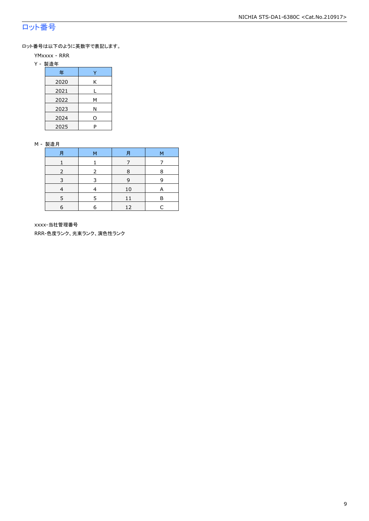# ロット番号

ロット番号は以下のように英数字で表記します。

- YMxxxx RRR
- Y 製造年

| 年    |   |
|------|---|
| 2020 | Κ |
| 2021 |   |
| 2022 | М |
| 2023 | Ν |
| 2024 | 0 |
| 2025 | P |

#### M - 製造月

| 月 | м | 月  | м |
|---|---|----|---|
|   |   |    |   |
|   |   | 8  | 8 |
| 3 | २ | 9  | q |
|   |   | 10 |   |
| ς |   | 11 | в |
| 6 | a | 12 |   |

xxxx-当社管理番号

RRR-色度ランク、光束ランク、演色性ランク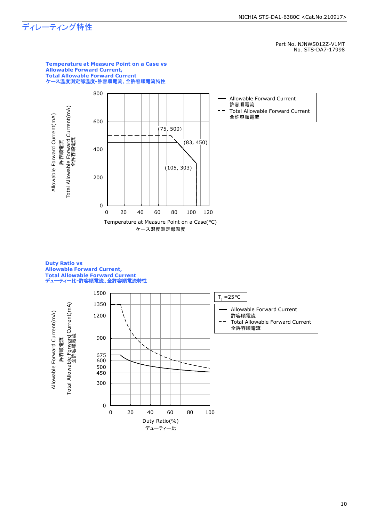# ディレーティング特性

Part No. NJNWS012Z-V1MT No. STS-DA7-17998



#### **Duty Ratio vs Allowable Forward Current, Total Allowable Forward Current** デューティー比**-**許容順電流、全許容順電流特性

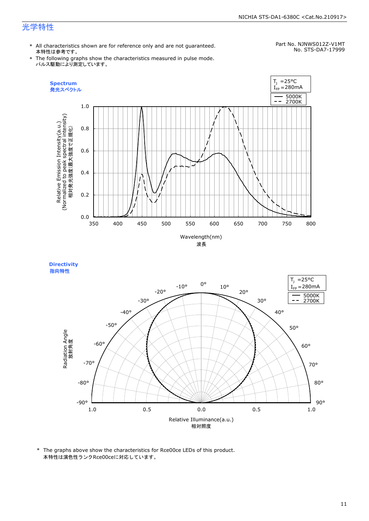# 光学特性

\* All characteristics shown are for reference only and are not guaranteed. 本特性は参考です。

#### Part No. NJNWS012Z-V1MT No. STS-DA7-17999

\* The following graphs show the characteristics measured in pulse mode. パルス駆動により測定しています。





<sup>\*</sup> The graphs above show the characteristics for Rce00ce LEDs of this product. 本特性は演色性ランクRce00ceに対応しています。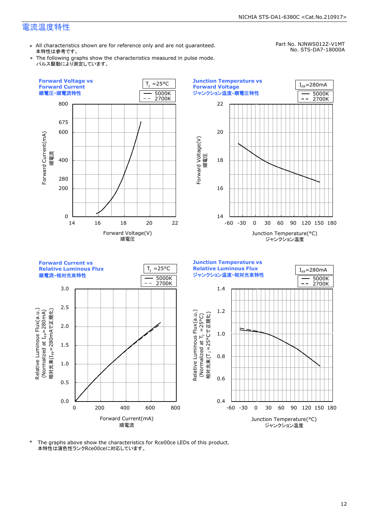## 電流温度特性

\* All characteristics shown are for reference only and are not guaranteed. 本特性は参考です。

Part No. NJNWS012Z-V1MT No. STS-DA7-18000A

\* The following graphs show the characteristics measured in pulse mode. パルス駆動により測定しています。



\* The graphs above show the characteristics for Rce00ce LEDs of this product. 本特性は演色性ランクRce00ceに対応しています。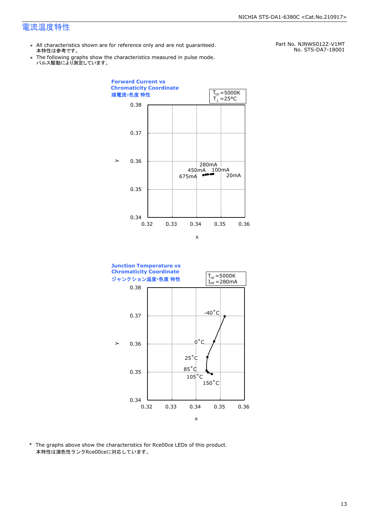### 電流温度特性

- \* All characteristics shown are for reference only and are not guaranteed. 本特性は参考です。
- \* Ine following graphs show th<br>、パルス駆動により測定しています。 The following graphs show the characteristics measured in pulse mode.

Part No. NJNWS012Z-V1MT No. STS-DA7-18001





\* The graphs above show the characteristics for Rce00ce LEDs of this product. 本特性は演色性ランクRce00ceに対応しています。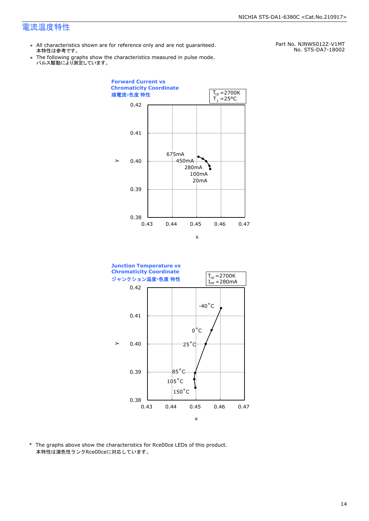### 電流温度特性

- \* All characteristics shown are for reference only and are not guaranteed. 本特性は参考です。
- \* Ine following graphs show th<br>、パルス駆動により測定しています。 The following graphs show the characteristics measured in pulse mode.

Part No. NJNWS012Z-V1MT No. STS-DA7-18002





\* The graphs above show the characteristics for Rce00ce LEDs of this product. 本特性は演色性ランクRce00ceに対応しています。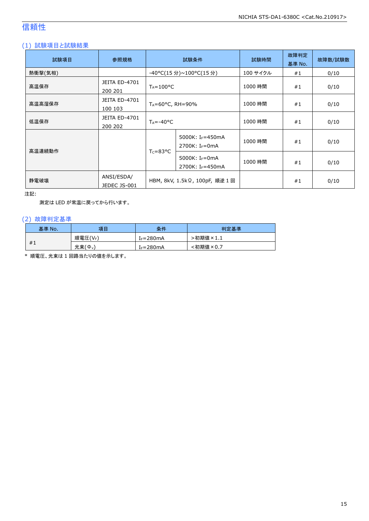# 信頼性

### (1) 試験項目と試験結果

| 試験項目    | 参照規格                            | 試験条件                           |                                                            | 試験時間     | 故障判定<br>基準 No. | 故障数/試験数 |
|---------|---------------------------------|--------------------------------|------------------------------------------------------------|----------|----------------|---------|
| 熱衝撃(気相) |                                 |                                | -40°C(15 分)~100°C(15 分)                                    | 100 サイクル | #1             | 0/10    |
| 高温保存    | JEITA ED-4701<br>200 201        | $T_A = 100^{\circ}C$           |                                                            | 1000 時間  | #1             | 0/10    |
| 高温高湿保存  | <b>JEITA ED-4701</b><br>100 103 | $T_A = 60^{\circ}$ C, RH = 90% |                                                            | 1000 時間  | #1             | 0/10    |
| 低温保存    | <b>JEITA ED-4701</b><br>200 202 | $T_A = -40$ <sup>o</sup> C     |                                                            | 1000 時間  | #1             | 0/10    |
| 高温連続動作  |                                 |                                | 5000K: I <sub>F</sub> =450mA<br>2700K: I <sub>F</sub> =0mA | 1000 時間  | #1             | 0/10    |
|         |                                 | $T_c = 83^{\circ}C$            | 5000K: $I_F = 0$ mA<br>2700K: IF=450mA                     | 1000 時間  | #1             | 0/10    |
| 静電破壊    | ANSI/ESDA/<br>JEDEC JS-001      | HBM, 8kV, 1.5kΩ, 100pF, 順逆 1 回 |                                                            |          | #1             | 0/10    |

注記:

測定は LED が常温に戻ってから行います。

### (2) 故障判定基準

| 基準 No. | 項目                                       | 条件            | 判定基準     |
|--------|------------------------------------------|---------------|----------|
|        | 順電圧(VF)                                  | $I_F = 280mA$ | ·初期値×1.1 |
| #1     | 光束(<br>$^{\prime}$ $\Phi$ <sub>v</sub> , | IF=280mA      | :初期値×0.7 |

\* 順電圧、光束は 1 回路当たりの値を示します。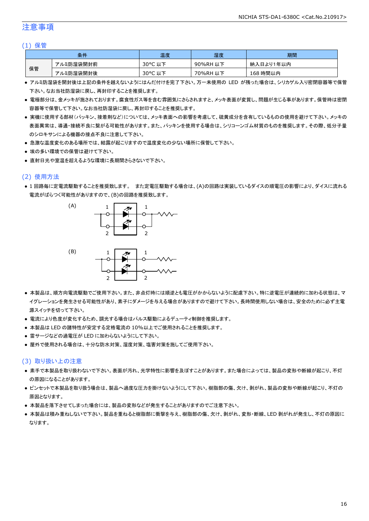### 注意事項

#### (1) 保管

| 条件 |           | 温度      | 湿度       | 期間        |
|----|-----------|---------|----------|-----------|
| 保管 | アルミ防湿袋開封前 | 30°C 以下 | 90%RH 以下 | 納入日より1年以内 |
|    | アルミ防湿袋開封後 | 30°C 以下 | 70%RH 以下 | 168 時間以内  |

- アルミ防湿袋を開封後は上記の条件を越えないようにはんだ付けを完了下さい。万一未使用の LED が残った場合は、シリカゲル入り密閉容器等で保管 下さい。なお当社防湿袋に戻し、再封印することを推奨します。
- 電極部分は、金メッキが施されております。腐食性ガス等を含む雰囲気にさらされますと、メッキ表面が変質し、問題が生じる事があります。保管時は密閉 容器等で保管して下さい。なお当社防湿袋に戻し、再封印することを推奨します。
- 実機に使用する部材(パッキン、接着剤など)については、メッキ表面への影響を考慮して、硫黄成分を含有しているものの使用を避けて下さい。メッキの 表面異常は、導通・接続不良に繋がる可能性があります。また、パッキンを使用する場合は、シリコーンゴム材質のものを推奨します。その際、低分子量 のシロキサンによる機器の接点不良に注意して下さい。
- 急激な温度変化のある場所では、結露が起こりますので温度変化の少ない場所に保管して下さい。
- 埃の多い環境での保管は避けて下さい。
- 直射日光や室温を超えるような環境に長期間さらさないで下さい。

### (2) 使用方法

● 1 回路毎に定電流駆動することを推奨致します。 また定電圧駆動する場合は、(A)の回路は実装しているダイスの順電圧の影響により、ダイスに流れる 電流がばらつく可能性がありますので、(B)の回路を推奨致します。



- 本製品は、順方向電流駆動でご使用下さい。また、非点灯時には順逆とも電圧がかからないように配慮下さい。特に逆電圧が連続的に加わる状態は、マ イグレーションを発生させる可能性があり、素子にダメージを与える場合がありますので避けて下さい。長時間使用しない場合は、安全のために必ず主電 源スイッチを切って下さい。
- 電流により色度が変化するため、調光する場合はパルス駆動によるデューティ制御を推奨します。
- 本製品は LED の諸特性が安定する定格電流の 10%以上でご使用されることを推奨します。
- 雷サージなどの過電圧が LED に加わらないようにして下さい。
- 屋外で使用される場合は、十分な防水対策、湿度対策、塩害対策を施してご使用下さい。

#### (3) 取り扱い上の注意

- 素手で本製品を取り扱わないで下さい。表面が汚れ、光学特性に影響を及ぼすことがあります。また場合によっては、製品の変形や断線が起こり、不灯 の原因になることがあります。
- ピンセットで本製品を取り扱う場合は、製品へ過度な圧力を掛けないようにして下さい。樹脂部の傷、欠け、剥がれ、製品の変形や断線が起こり、不灯の 原因となります。
- 本製品を落下させてしまった場合には、製品の変形などが発生することがありますのでご注意下さい。
- 本製品は積み重ねしないで下さい。製品を重ねると樹脂部に衝撃を与え、樹脂部の傷、欠け、剥がれ、変形・断線、LED 剥がれが発生し、不灯の原因に なります。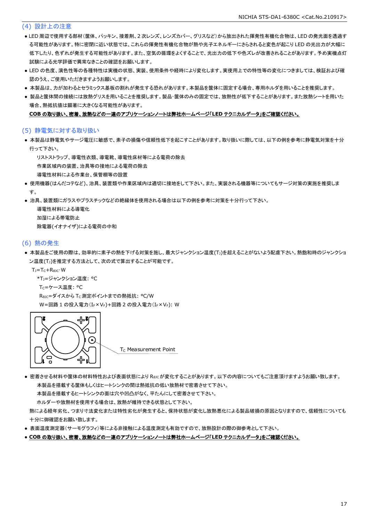### (4) 設計上の注意

- LED 周辺で使用する部材(筐体、パッキン、接着剤、2 次レンズ、レンズカバー、グリスなど)から放出された揮発性有機化合物は、LED の発光面を透過す る可能性があります。特に密閉に近い状態では、これらの揮発性有機化合物が熱や光子エネルギーにさらされると変色が起こり LED の光出力が大幅に 低下したり、色ずれが発生する可能性があります。また、空気の循環をよくすることで、光出力の低下や色ズレが改善されることがあります。予め実機点灯 試験による光学評価で異常なきことの確認をお願いします。
- LED の色度、演色性等の各種特性は実機の状態、実装、使用条件や経時により変化します。実使用上での特性等の変化につきましては、検証および確 認のうえ、ご使用いただきますようお願いします。
- 本製品は、カが加わるとセラミックス基板の割れが発生する恐れがあります。本製品を筐体に固定する場合、専用ホルダを用いることを推奨します。
- 製品と筐体間の接続には放熱グリスを用いることを推奨します。製品・筐体のみの固定では、放熱性が低下することがあります。また放熱シートを用いた 場合、熱抵抗値は顕著に大きくなる可能性があります。

#### **COB** の取り扱い、密着、放熱などの一連のアプリケーションノートは弊社ホームページ「**LED** テクニカルデータ」をご確認ください。

#### (5) 静電気に対する取り扱い

● 本製品は静電気やサージ電圧に敏感で、素子の損傷や信頼性低下を起こすことがあります。取り扱いに際しては、以下の例を参考に静電気対策を十分 行って下さい。

リストストラップ、導電性衣類、導電靴、導電性床材等による電荷の除去

作業区域内の装置、治具等の接地による電荷の除去

- 導電性材料による作業台、保管棚等の設置
- 使用機器(はんだコテなど)、治具、装置類や作業区域内は適切に接地をして下さい。また、実装される機器等についてもサージ対策の実施を推奨しま す。
- 治具、装置類にガラスやプラスチックなどの絶縁体を使用される場合は以下の例を参考に対策を十分行って下さい。

 導電性材料による導電化 加湿による帯電防止 除電器(イオナイザ)による電荷の中和

#### (6) 熱の発生

● 本製品をご使用の際は、効率的に素子の熱を下げる対策を施し、最大ジャンクション温度(T))を超えることがないよう配慮下さい。熱飽和時のジャンクショ ン温度(T<sub>J</sub>)を推定する方法として、次の式で算出することが可能です。

TJ=TC+RθJC・W

- \*TJ=ジャンクション温度: °C
- T<sub>C</sub>=ケース温度: °C

ReJC=ダイスから Tc 測定ポイントまでの熱抵抗: °C/W W=回路 1 の投入電力(IF×VF)+回路 2 の投入電力(IF×VF): W



● 密着させる材料や筐体の材料特性および表面状態により Reicが変化することがあります。以下の内容についてもご注意頂けますようお願い致します。 本製品を搭載する筐体もしくはヒートシンクの間は熱抵抗の低い放熱材で密着させて下さい。

本製品を搭載するヒートシンクの面は穴や凹凸がなく、平たんにして密着させて下さい。

ホルダーや放熱材を使用する場合は、放熱が維持できる状態として下さい。

 熱による経年劣化、つまり寸法変化または特性劣化が発生すると、保持状態が変化し放熱悪化による製品破損の原因となりますので、信頼性についても 十分に御確認をお願い致します。

- 表面温度測定器(サーモグラフィ)等による非接触による温度測定も有効ですので、放熱設計の際の御参考として下さい。
- **COB** の取り扱い、密着、放熱などの一連のアプリケーションノートは弊社ホームページ「**LED** テクニカルデータ」をご確認ください。